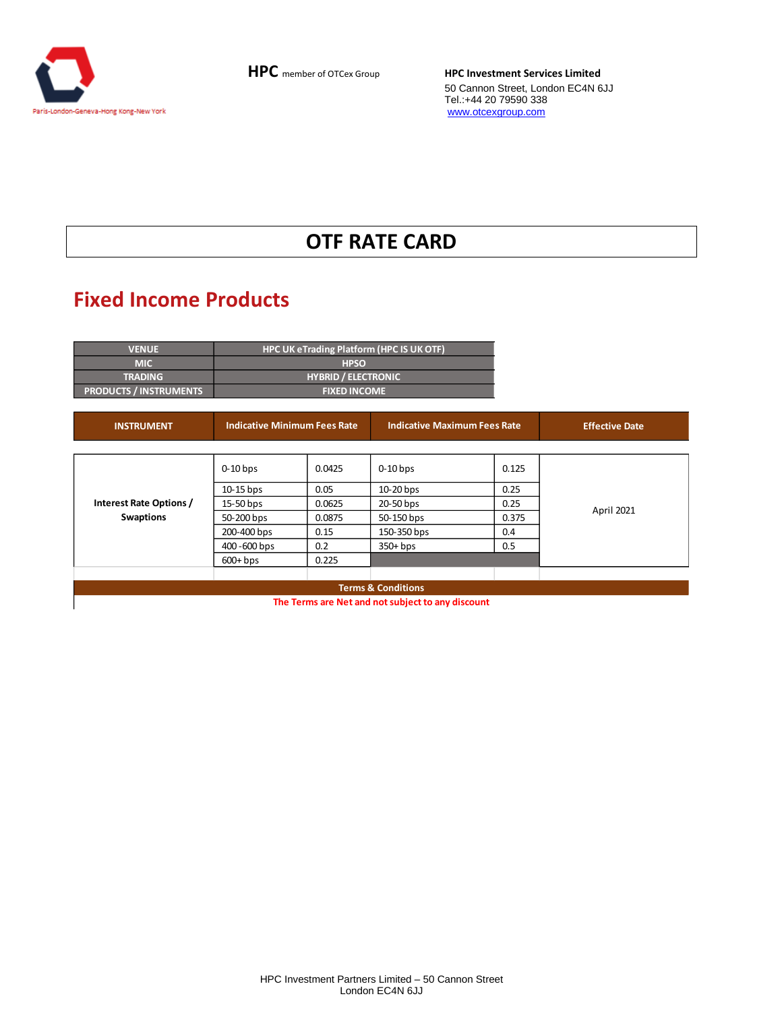

# **OTF RATE CARD**

# **Fixed Income Products**

| <b>VENUE</b>                  | <b>HPC UK eTrading Platform (HPC IS UK OTF)</b> |
|-------------------------------|-------------------------------------------------|
| <b>MIC</b>                    | <b>HPSO</b>                                     |
| <b>TRADING</b>                | <b>HYBRID / ELECTRONIC</b>                      |
| <b>PRODUCTS / INSTRUMENTS</b> | <b>FIXED INCOME</b>                             |

| <b>INSTRUMENT</b>                           | <b>Indicative Minimum Fees Rate</b> |        | <b>Indicative Maximum Fees Rate</b> |       | <b>Effective Date</b> |  |
|---------------------------------------------|-------------------------------------|--------|-------------------------------------|-------|-----------------------|--|
|                                             |                                     |        |                                     |       |                       |  |
|                                             | $0-10$ bps                          | 0.0425 | $0-10$ bps                          | 0.125 |                       |  |
|                                             | $10-15$ bps                         | 0.05   | 10-20 bps                           | 0.25  |                       |  |
| Interest Rate Options /<br><b>Swaptions</b> | 15-50 bps                           | 0.0625 | 20-50 bps                           | 0.25  | April 2021            |  |
|                                             | 50-200 bps                          | 0.0875 | 50-150 bps                          | 0.375 |                       |  |
|                                             | 200-400 bps                         | 0.15   | 150-350 bps                         | 0.4   |                       |  |
|                                             | 400 -600 bps                        | 0.2    | $350+bps$                           | 0.5   |                       |  |
|                                             | $600+bps$                           | 0.225  |                                     |       |                       |  |
|                                             |                                     |        |                                     |       |                       |  |
|                                             |                                     |        | <b>Terms &amp; Conditions</b>       |       |                       |  |

**The Terms are Net and not subject to any discount**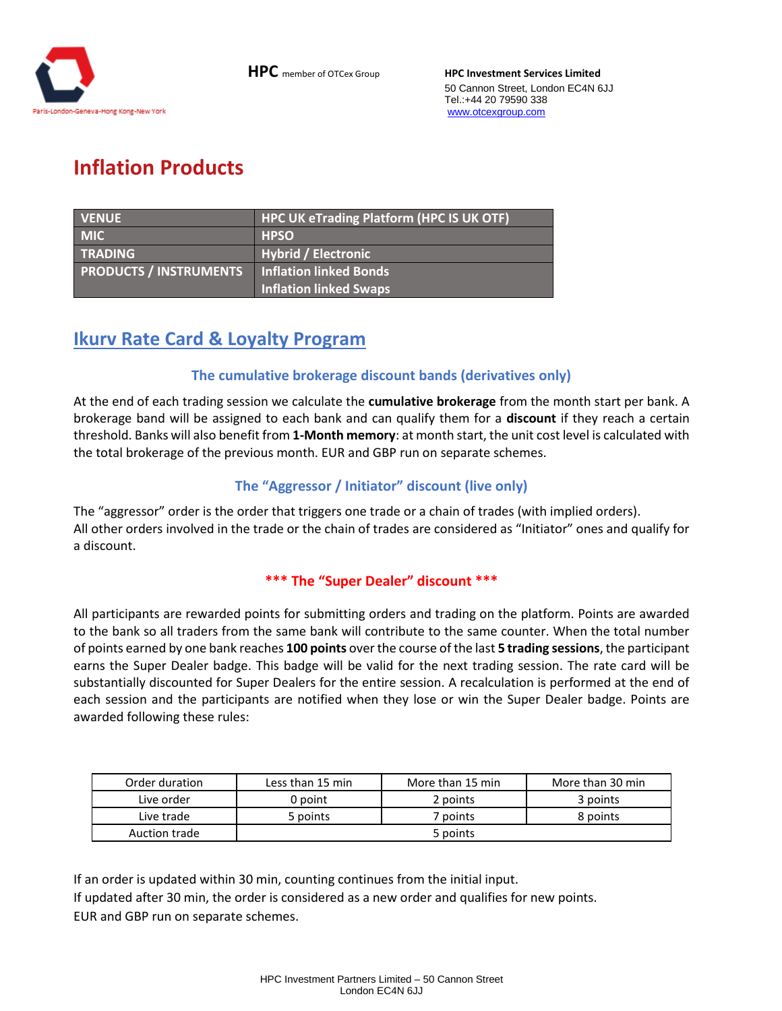

# **Inflation Products**

| <b>VENUE</b>                  | <b>HPC UK eTrading Platform (HPC IS UK OTF)</b> |
|-------------------------------|-------------------------------------------------|
| <b>MIC</b>                    | <b>HPSO</b>                                     |
| <b>TRADING</b>                | <b>Hybrid / Electronic</b>                      |
| <b>PRODUCTS / INSTRUMENTS</b> | <b>Inflation linked Bonds</b>                   |
|                               | <b>Inflation linked Swaps</b>                   |

# **Ikurv Rate Card & Loyalty Program**

### **The cumulative brokerage discount bands (derivatives only)**

At the end of each trading session we calculate the **cumulative brokerage** from the month start per bank. A brokerage band will be assigned to each bank and can qualify them for a **discount** if they reach a certain threshold. Banks will also benefit from **1-Month memory**: at month start, the unit cost level is calculated with the total brokerage of the previous month. EUR and GBP run on separate schemes.

### **The "Aggressor / Initiator" discount (live only)**

The "aggressor" order is the order that triggers one trade or a chain of trades (with implied orders). All other orders involved in the trade or the chain of trades are considered as "Initiator" ones and qualify for a discount.

#### **\*\*\* The "Super Dealer" discount \*\*\***

All participants are rewarded points for submitting orders and trading on the platform. Points are awarded to the bank so all traders from the same bank will contribute to the same counter. When the total number of points earned by one bank reaches **100 points** over the course of the last **5 trading sessions**, the participant earns the Super Dealer badge. This badge will be valid for the next trading session. The rate card will be substantially discounted for Super Dealers for the entire session. A recalculation is performed at the end of each session and the participants are notified when they lose or win the Super Dealer badge. Points are awarded following these rules:

| Order duration | Less than 15 min | More than 15 min | More than 30 min |
|----------------|------------------|------------------|------------------|
| Live order     | 0 point          | 2 points         | 3 points         |
| Live trade     | 5 points         | 7 points         | 8 points         |
| Auction trade  |                  | 5 points         |                  |

If an order is updated within 30 min, counting continues from the initial input. If updated after 30 min, the order is considered as a new order and qualifies for new points. EUR and GBP run on separate schemes.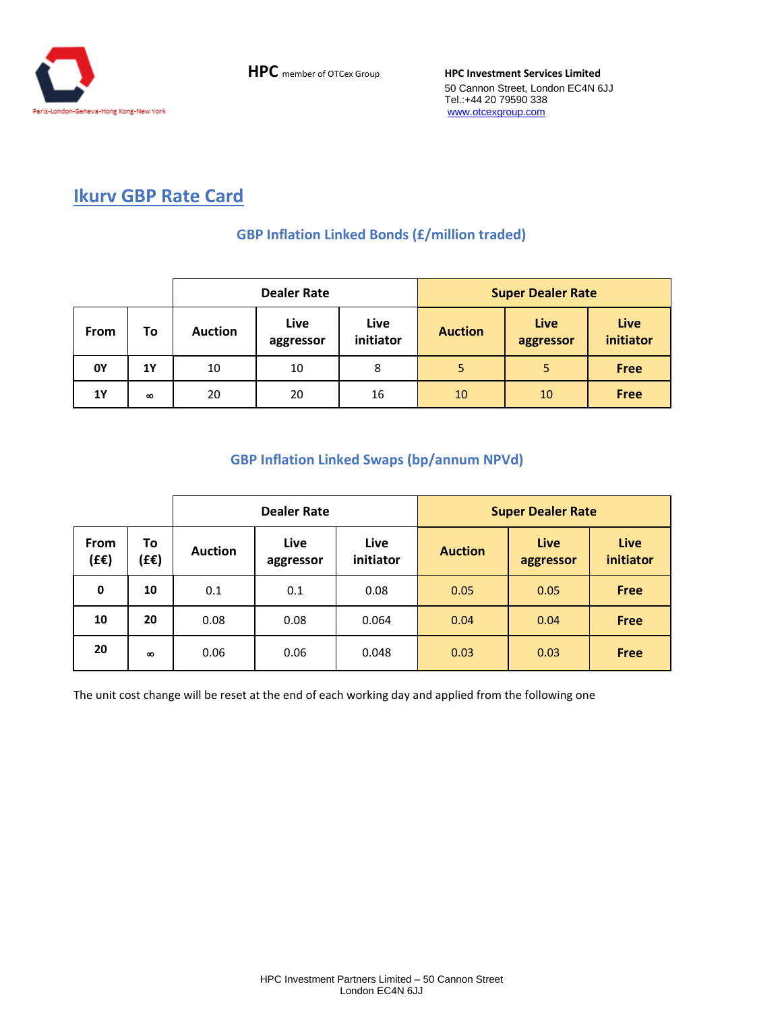

## **Ikurv GBP Rate Card**

## **GBP Inflation Linked Bonds (£/million traded)**

|             |          | <b>Dealer Rate</b> |                   |                   | <b>Super Dealer Rate</b> |                   |                   |
|-------------|----------|--------------------|-------------------|-------------------|--------------------------|-------------------|-------------------|
| <b>From</b> | To       | <b>Auction</b>     | Live<br>aggressor | Live<br>initiator | <b>Auction</b>           | Live<br>aggressor | Live<br>initiator |
| 0Y          | 1Y       | 10                 | 10                | 8                 | 5                        | 5                 | <b>Free</b>       |
| <b>1Y</b>   | $\infty$ | 20                 | 20                | 16                | 10                       | 10                | <b>Free</b>       |

## **GBP Inflation Linked Swaps (bp/annum NPVd)**

|                     |            | <b>Dealer Rate</b> |                   |                   | <b>Super Dealer Rate</b> |                   |                   |
|---------------------|------------|--------------------|-------------------|-------------------|--------------------------|-------------------|-------------------|
| <b>From</b><br>(EE) | To<br>(£€) | <b>Auction</b>     | Live<br>aggressor | Live<br>initiator | <b>Auction</b>           | Live<br>aggressor | Live<br>initiator |
| 0                   | 10         | 0.1                | 0.1               | 0.08              | 0.05                     | 0.05              | <b>Free</b>       |
| 10                  | 20         | 0.08               | 0.08              | 0.064             | 0.04                     | 0.04              | <b>Free</b>       |
| 20                  | $\infty$   | 0.06               | 0.06              | 0.048             | 0.03                     | 0.03              | <b>Free</b>       |

The unit cost change will be reset at the end of each working day and applied from the following one